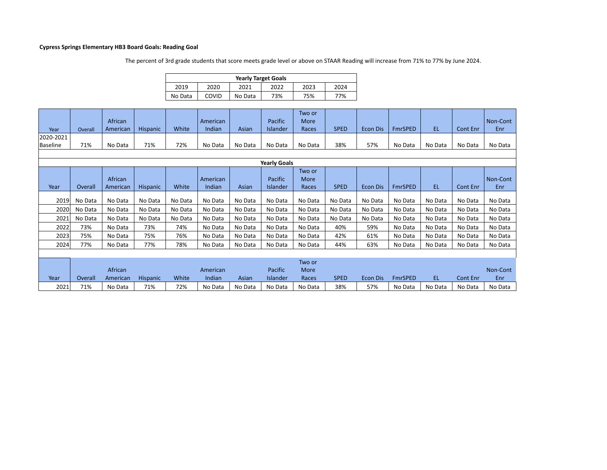## **Cypress Springs Elementary HB3 Board Goals: Reading Goal**

The percent of 3rd grade students that score meets grade level or above on STAAR Reading will increase from 71% to 77% by June 2024.

|         | <b>Yearly Target Goals</b> |         |      |      |      |  |  |  |  |  |  |  |  |
|---------|----------------------------|---------|------|------|------|--|--|--|--|--|--|--|--|
| 2019    | 2020                       | 2021    | 2022 | 2023 | 2024 |  |  |  |  |  |  |  |  |
| No Data | <b>COVID</b>               | No Data | 73%  | 75%  | 77%  |  |  |  |  |  |  |  |  |

| Year      | Overall | African<br>American | <b>Hispanic</b> | White   | American<br>Indian | Asian   | Pacific<br><b>Islander</b> | Two or<br>More<br>Races | <b>SPED</b> | <b>Econ Dis</b> | <b>FmrSPED</b> | EL.     | <b>Cont Enr</b> | Non-Cont<br>Enr |
|-----------|---------|---------------------|-----------------|---------|--------------------|---------|----------------------------|-------------------------|-------------|-----------------|----------------|---------|-----------------|-----------------|
| 2020-2021 |         |                     |                 |         |                    |         |                            |                         |             |                 |                |         |                 |                 |
| Baseline  | 71%     | No Data             | 71%             | 72%     | No Data            | No Data | No Data                    | No Data                 | 38%         | 57%             | No Data        | No Data | No Data         | No Data         |
|           |         |                     |                 |         |                    |         |                            |                         |             |                 |                |         |                 |                 |
|           |         |                     |                 |         |                    |         |                            |                         |             |                 |                |         |                 |                 |
|           |         |                     |                 |         |                    |         | <b>Yearly Goals</b>        |                         |             |                 |                |         |                 |                 |
|           |         |                     |                 |         |                    |         |                            | Two or                  |             |                 |                |         |                 |                 |
|           |         | African             |                 |         | American           |         | Pacific                    | More                    |             |                 |                |         |                 | Non-Cont        |
| Year      | Overall | American            | <b>Hispanic</b> | White   | Indian             | Asian   | Islander                   | Races                   | <b>SPED</b> | <b>Econ Dis</b> | FmrSPED        | EL.     | Cont Enr        | Enr             |
|           |         |                     |                 |         |                    |         |                            |                         |             |                 |                |         |                 |                 |
| 2019      | No Data | No Data             | No Data         | No Data | No Data            | No Data | No Data                    | No Data                 | No Data     | No Data         | No Data        | No Data | No Data         | No Data         |
| 2020      | No Data | No Data             | No Data         | No Data | No Data            | No Data | No Data                    | No Data                 | No Data     | No Data         | No Data        | No Data | No Data         | No Data         |
| 2021      | No Data | No Data             | No Data         | No Data | No Data            | No Data | No Data                    | No Data                 | No Data     | No Data         | No Data        | No Data | No Data         | No Data         |
| 2022      | 73%     | No Data             | 73%             | 74%     | No Data            | No Data | No Data                    | No Data                 | 40%         | 59%             | No Data        | No Data | No Data         | No Data         |
| 2023      | 75%     | No Data             | 75%             | 76%     | No Data            | No Data | No Data                    | No Data                 | 42%         | 61%             | No Data        | No Data | No Data         | No Data         |
| 2024      | 77%     | No Data             | 77%             | 78%     | No Data            | No Data | No Data                    | No Data                 | 44%         | 63%             | No Data        | No Data | No Data         | No Data         |
|           |         |                     |                 |         |                    |         |                            |                         |             |                 |                |         |                 |                 |
|           |         |                     |                 |         |                    |         |                            | Two or                  |             |                 |                |         |                 |                 |
|           |         | African             |                 |         | American           |         | Pacific                    | More                    |             |                 |                |         |                 | Non-Cont        |
| Year      | Overall | American            | <b>Hispanic</b> | White   | Indian             | Asian   | Islander                   | Races                   | <b>SPED</b> | Econ Dis        | <b>FmrSPED</b> | EL.     | Cont Enr        | Enr             |
| 2021      | 71%     | No Data             | 71%             | 72%     | No Data            | No Data | No Data                    | No Data                 | 38%         | 57%             | No Data        | No Data | No Data         | No Data         |